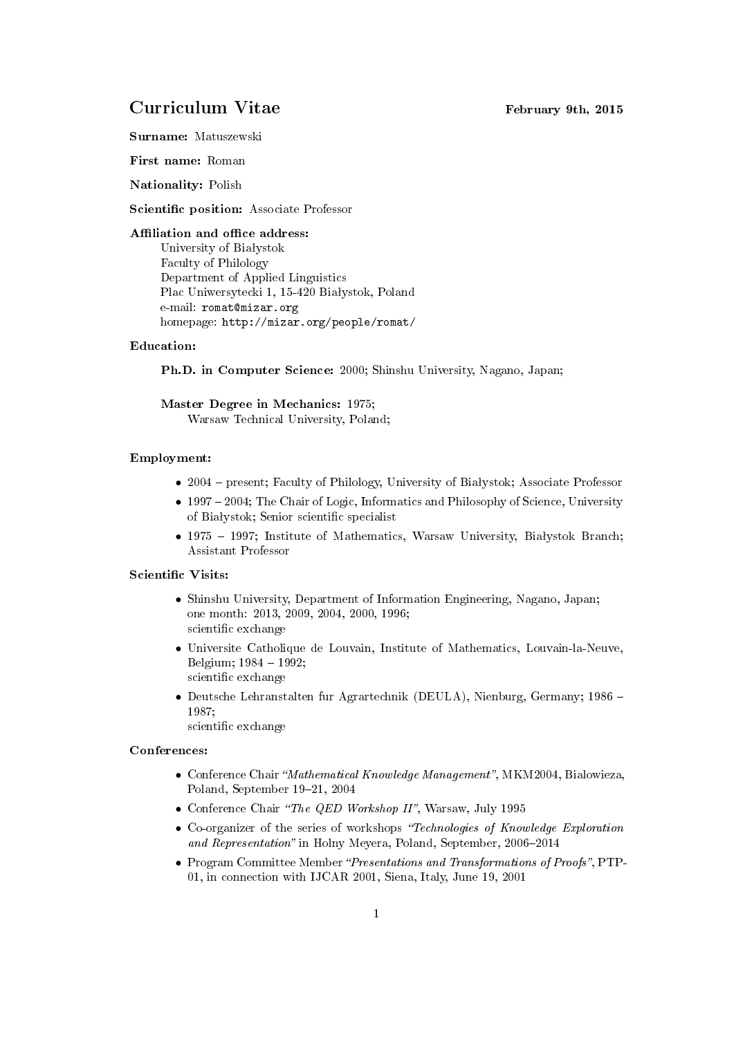# Curriculum Vitae February 9th, 2015

Surname: Matuszewski

First name: Roman

Nationality: Polish

Scientific position: Associate Professor

#### Affiliation and office address:

University of Białystok Faculty of Philology Department of Applied Linguistics Plac Uniwersytecki 1, 15-420 Białystok, Poland e-mail: romat@mizar.org homepage: http://mizar.org/people/romat/

### Education:

Ph.D. in Computer Science: 2000; Shinshu University, Nagano, Japan;

Master Degree in Mechanics: 1975; Warsaw Technical University, Poland;

#### Employment:

- 2004 present; Faculty of Philology, University of Białystok; Associate Professor
- 1997 2004; The Chair of Logic, Informatics and Philosophy of Science, University of Białystok; Senior scientific specialist
- 1975  $-$  1997; Institute of Mathematics, Warsaw University, Białystok Branch; Assistant Professor

## Scientific Visits:

- Shinshu University, Department of Information Engineering, Nagano, Japan; one month: 2013, 2009, 2004, 2000, 1996; scientific exchange
- Universite Catholique de Louvain, Institute of Mathematics, Louvain-la-Neuve, Belgium; 1984 - 1992; scientific exchange
- Deutsche Lehranstalten fur Agrartechnik (DEULA), Nienburg, Germany; 1986 1987;
	- scientific exchange

## Conferences:

- Conference Chair "Mathematical Knowledge Management", MKM2004, Bialowieza, Poland, September 19-21, 2004
- Conference Chair "The QED Workshop II", Warsaw, July 1995
- Co-organizer of the series of workshops "Technologies of Knowledge Exploration and Representation" in Holny Meyera, Poland, September, 2006–2014
- Program Committee Member "Presentations and Transformations of Proofs", PTP-01, in connection with IJCAR 2001, Siena, Italy, June 19, 2001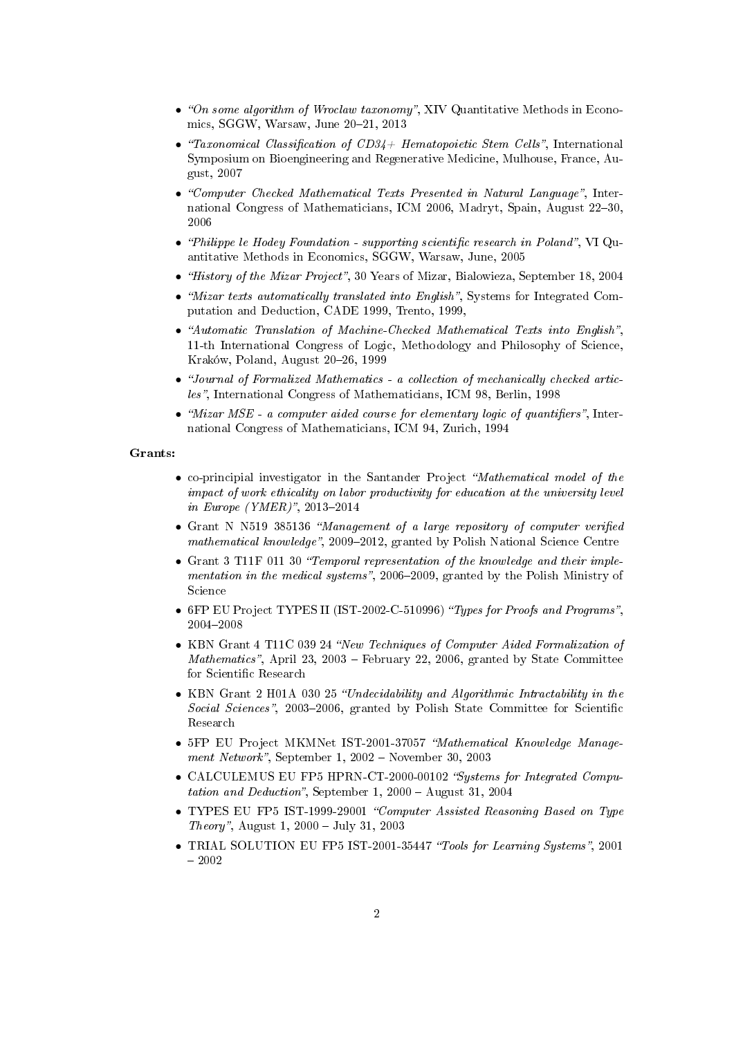- "On some algorithm of Wroclaw taxonomy", XIV Quantitative Methods in Economics, SGGW, Warsaw, June 20-21, 2013
- "Taxonomical Classification of  $CD34+$  Hematopoietic Stem Cells". International Symposium on Bioengineering and Regenerative Medicine, Mulhouse, France, August, 2007
- "Computer Checked Mathematical Texts Presented in Natural Language", International Congress of Mathematicians, ICM 2006, Madryt, Spain, August 22-30, 2006
- "Philippe le Hodey Foundation supporting scientific research in Poland", VI Quantitative Methods in Economics, SGGW, Warsaw, June, 2005
- "History of the Mizar Project", 30 Years of Mizar, Bialowieza, September 18, 2004
- "Mizar texts automatically translated into English", Systems for Integrated Computation and Deduction, CADE 1999, Trento, 1999,
- "Automatic Translation of Machine-Checked Mathematical Texts into English", 11-th International Congress of Logic, Methodology and Philosophy of Science, Kraków, Poland, August 20-26, 1999
- Journal of Formalized Mathematics a collection of mechanically checked articles", International Congress of Mathematicians, ICM 98, Berlin, 1998
- "Mizar  $MSE$  a computer aided course for elementary logic of quantifiers", International Congress of Mathematicians, ICM 94, Zurich, 1994

#### Grants:

- co-principial investigator in the Santander Project "Mathematical model of the impact of work ethicality on labor productivity for education at the university level in Europe (YMER)", 2013-2014
- Grant N N519 385136 "Management of a large repository of computer verified mathematical knowledge", 2009-2012, granted by Polish National Science Centre
- Grant 3 T11F 011 30 "Temporal representation of the knowledge and their implementation in the medical systems", 2006–2009, granted by the Polish Ministry of Science
- 6FP EU Project TYPES II (IST-2002-C-510996) "Types for Proofs and Programs", 2004-2008
- KBN Grant 4 T11C 039 24 "New Techniques of Computer Aided Formalization of Mathematics", April 23, 2003 – February 22, 2006, granted by State Committee for Scientific Research
- KBN Grant 2 H01A 030 25 "Undecidability and Algorithmic Intractability in the Social Sciences", 2003–2006, granted by Polish State Committee for Scientific Research
- 5FP EU Project MKMNet IST-2001-37057 "Mathematical Knowledge Management Network", September 1, 2002 – November 30, 2003
- CALCULEMUS EU FP5 HPRN-CT-2000-00102 "Systems for Integrated Computation and Deduction", September 1, 2000 – August 31, 2004
- TYPES EU FP5 IST-1999-29001 "Computer Assisted Reasoning Based on Type Theory", August 1, 2000 - July 31, 2003
- TRIAL SOLUTION EU FP5 IST-2001-35447 "Tools for Learning Systems", 2001  $-2002$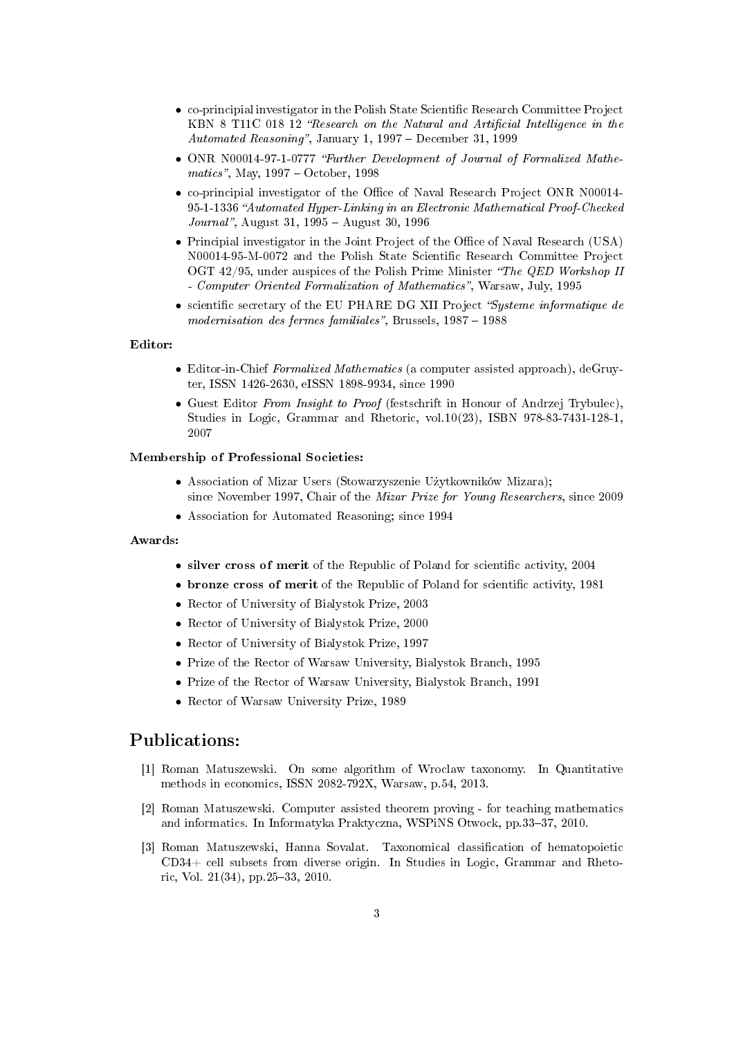- co-principial investigator in the Polish State Scientific Research Committee Project KBN 8 T11C 018 12 "Research on the Natural and Artificial Intelligence in the Automated Reasoning", January 1, 1997 – December 31, 1999
- ONR N00014-97-1-0777 "Further Development of Journal of Formalized Mathematics", May,  $1997 - October$ , 1998
- co-principial investigator of the Office of Naval Research Project ONR N00014-95-1-1336 "Automated Hyper-Linking in an Electronic Mathematical Proof-Checked  $Journal$ , August 31, 1995 – August 30, 1996
- Principial investigator in the Joint Project of the Office of Naval Research (USA) N00014-95-M-0072 and the Polish State Scientific Research Committee Project OGT  $42/95$ , under auspices of the Polish Prime Minister "The QED Workshop II - Computer Oriented Formalization of Mathematics", Warsaw, July, 1995
- scientific secretary of the EU PHARE DG XII Project "Systeme informatique de  $modernisation$  des fermes familiales", Brussels,  $1987 - 1988$

#### Editor:

- Editor-in-Chief Formalized Mathematics (a computer assisted approach), deGruyter, ISSN 1426-2630, eISSN 1898-9934, since 1990
- Guest Editor From Insight to Proof (festschrift in Honour of Andrzej Trybulec), Studies in Logic, Grammar and Rhetoric, vol.10(23), ISBN 978-83-7431-128-1, 2007

### Membership of Professional Societies:

- Association of Mizar Users (Stowarzyszenie Użytkowników Mizara); since November 1997, Chair of the Mizar Prize for Young Researchers, since 2009
- Association for Automated Reasoning; since 1994

#### Awards:

- silver cross of merit of the Republic of Poland for scientific activity, 2004
- bronze cross of merit of the Republic of Poland for scientific activity, 1981
- Rector of University of Bialystok Prize, 2003
- Rector of University of Bialystok Prize, 2000
- Rector of University of Bialystok Prize, 1997
- Prize of the Rector of Warsaw University, Bialystok Branch, 1995
- Prize of the Rector of Warsaw University, Bialystok Branch, 1991
- Rector of Warsaw University Prize, 1989

# Publications:

- [1] Roman Matuszewski. On some algorithm of Wroclaw taxonomy. In Quantitative methods in economics, ISSN 2082-792X, Warsaw, p.54, 2013.
- [2] Roman Matuszewski. Computer assisted theorem proving for teaching mathematics and informatics. In Informatyka Praktyczna, WSPiNS Otwock, pp.33-37, 2010.
- [3] Roman Matuszewski, Hanna Sovalat. Taxonomical classication of hematopoietic CD34+ cell subsets from diverse origin. In Studies in Logic, Grammar and Rhetoric, Vol.  $21(34)$ , pp.25-33, 2010.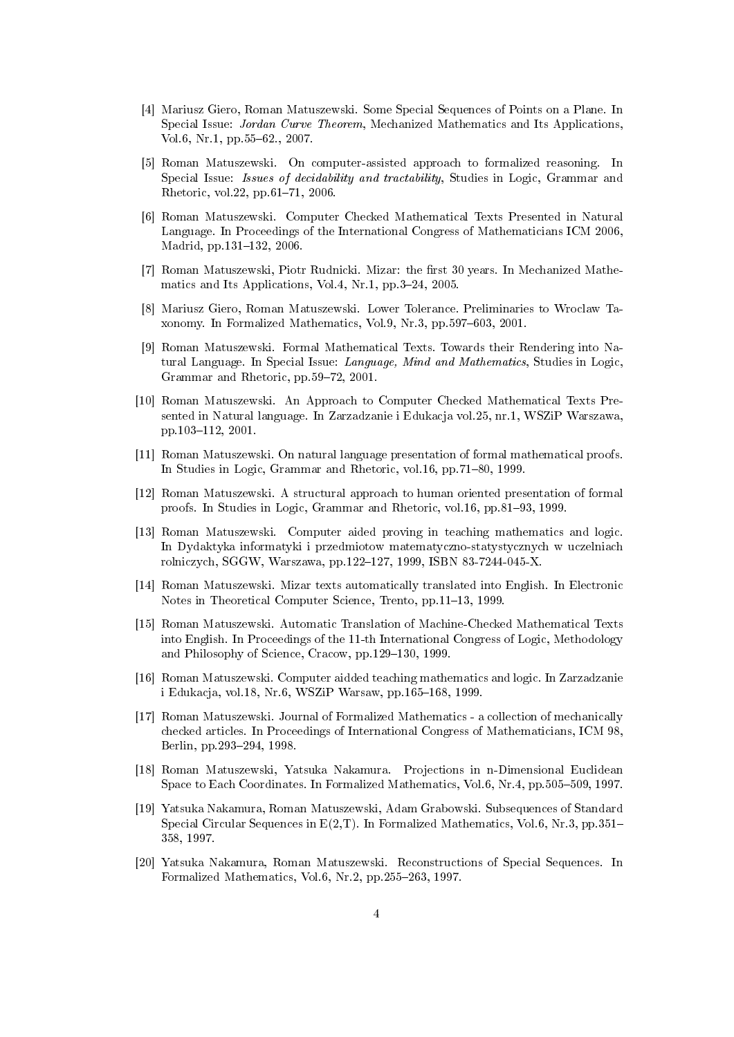- [4] Mariusz Giero, Roman Matuszewski. Some Special Sequences of Points on a Plane. In Special Issue: *Jordan Curve Theorem*, Mechanized Mathematics and Its Applications, Vol.6, Nr.1, pp.55-62., 2007.
- [5] Roman Matuszewski. On computer-assisted approach to formalized reasoning. In Special Issue: *Issues of decidability and tractability*, Studies in Logic, Grammar and Rhetoric, vol.22, pp.61-71, 2006.
- [6] Roman Matuszewski. Computer Checked Mathematical Texts Presented in Natural Language. In Proceedings of the International Congress of Mathematicians ICM 2006, Madrid, pp.131-132, 2006.
- [7] Roman Matuszewski, Piotr Rudnicki. Mizar: the first 30 years. In Mechanized Mathematics and Its Applications, Vol.4, Nr.1, pp.  $3-24$ , 2005.
- [8] Mariusz Giero, Roman Matuszewski. Lower Tolerance. Preliminaries to Wroclaw Taxonomy. In Formalized Mathematics, Vol.9, Nr.3, pp.597–603, 2001.
- [9] Roman Matuszewski. Formal Mathematical Texts. Towards their Rendering into Natural Language. In Special Issue: Language, Mind and Mathematics, Studies in Logic, Grammar and Rhetoric, pp.59-72, 2001.
- [10] Roman Matuszewski. An Approach to Computer Checked Mathematical Texts Presented in Natural language. In Zarzadzanie i Edukacja vol.25, nr.1, WSZiP Warszawa, pp.103–112, 2001.
- [11] Roman Matuszewski. On natural language presentation of formal mathematical proofs. In Studies in Logic, Grammar and Rhetoric, vol.16, pp.71–80, 1999.
- [12] Roman Matuszewski. A structural approach to human oriented presentation of formal proofs. In Studies in Logic, Grammar and Rhetoric, vol.16, pp.81-93, 1999.
- [13] Roman Matuszewski. Computer aided proving in teaching mathematics and logic. In Dydaktyka informatyki i przedmiotow matematyczno-statystycznych w uczelniach rolniczych, SGGW, Warszawa, pp.122-127, 1999, ISBN 83-7244-045-X.
- [14] Roman Matuszewski. Mizar texts automatically translated into English. In Electronic Notes in Theoretical Computer Science, Trento, pp.11–13, 1999.
- [15] Roman Matuszewski. Automatic Translation of Machine-Checked Mathematical Texts into English. In Proceedings of the 11-th International Congress of Logic, Methodology and Philosophy of Science, Cracow, pp.129–130, 1999.
- [16] Roman Matuszewski. Computer aidded teaching mathematics and logic. In Zarzadzanie i Edukacja, vol.18, Nr.6, WSZiP Warsaw, pp.165-168, 1999.
- [17] Roman Matuszewski. Journal of Formalized Mathematics a collection of mechanically checked articles. In Proceedings of International Congress of Mathematicians, ICM 98, Berlin, pp. 293-294, 1998.
- [18] Roman Matuszewski, Yatsuka Nakamura. Projections in n-Dimensional Euclidean Space to Each Coordinates. In Formalized Mathematics, Vol.6, Nr.4, pp.505–509, 1997.
- [19] Yatsuka Nakamura, Roman Matuszewski, Adam Grabowski. Subsequences of Standard Special Circular Sequences in  $E(2,T)$ . In Formalized Mathematics, Vol.6, Nr.3, pp.351– 358, 1997.
- [20] Yatsuka Nakamura, Roman Matuszewski. Reconstructions of Special Sequences. In Formalized Mathematics, Vol.6, Nr.2, pp.255–263, 1997.